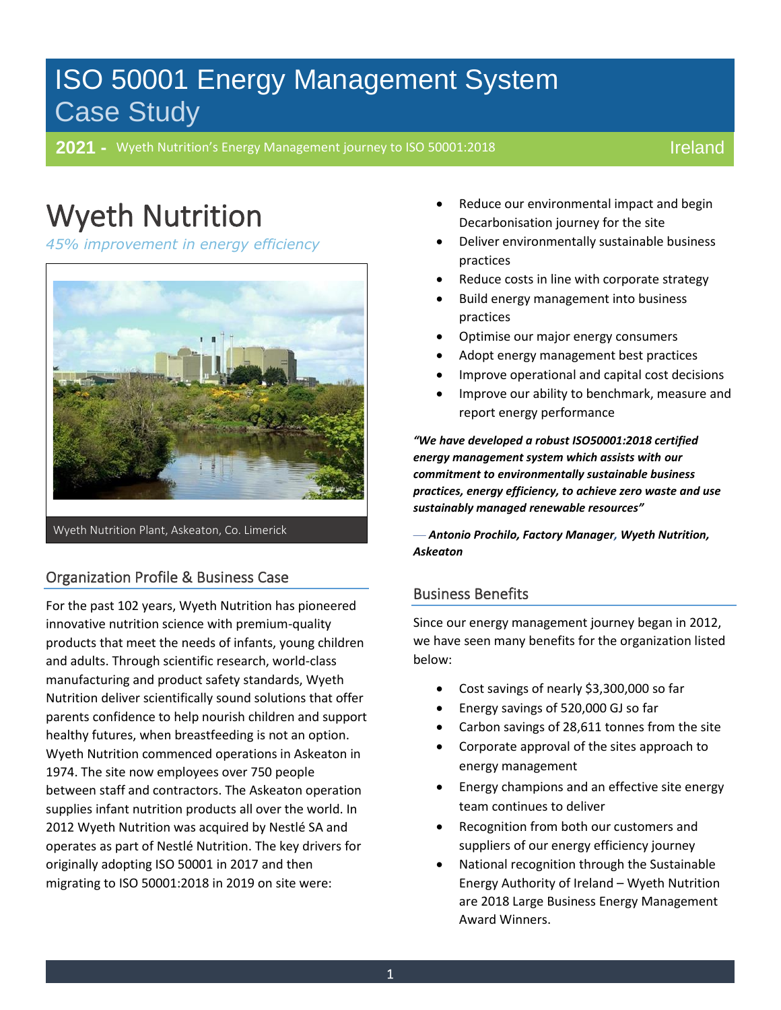# ISO 50001 Energy Management System Case Study

**2021 -** Wyeth Nutrition's Energy Management journey to ISO 50001:2018

## Ireland

### $M_{\star}$ Wyeth Nutrition

-

**45% improvement in energy efficiency** 



Wyeth Nutrition Plant, Askeaton, Co. Limerick

# Organization Profile & Business Case

For the past 102 years, Wyeth Nutrition has pioneered innovative nutrition science with premium-quality products that meet the needs of infants, young children and adults. Through scientific research, world-class manufacturing and product safety standards, Wyeth Nutrition deliver scientifically sound solutions that offer parents confidence to help nourish children and support healthy futures, when breastfeeding is not an option. Wyeth Nutrition commenced operations in Askeaton in 1974. The site now employees over 750 people between staff and contractors. The Askeaton operation supplies infant nutrition products all over the world. In 2012 Wyeth Nutrition was acquired by Nestlé SA and operates as part of Nestlé Nutrition. The key drivers for originally adopting ISO 50001 in 2017 and then migrating to ISO 50001:2018 in 2019 on site were:

- Reduce our environmental impact and begin Decarbonisation journey for the site
- Deliver environmentally sustainable business practices
- Reduce costs in line with corporate strategy
- Build energy management into business practices
- Optimise our major energy consumers
- Adopt energy management best practices
- Improve operational and capital cost decisions
- Improve our ability to benchmark, measure and report energy performance

*"We have developed a robust ISO50001:2018 certified energy management system which assists with our commitment to environmentally sustainable business practices, energy efficiency, to achieve zero waste and use sustainably managed renewable resources"*

— *Antonio Prochilo, Factory Manager, Wyeth Nutrition, Askeaton*

#### Business Benefits

Since our energy management journey began in 2012, we have seen many benefits for the organization listed below:

- Cost savings of nearly \$3,300,000 so far
- Energy savings of 520,000 GJ so far
- Carbon savings of 28,611 tonnes from the site
- Corporate approval of the sites approach to energy management
- Energy champions and an effective site energy team continues to deliver
- Recognition from both our customers and suppliers of our energy efficiency journey
- National recognition through the Sustainable Energy Authority of Ireland – Wyeth Nutrition are 2018 Large Business Energy Management Award Winners.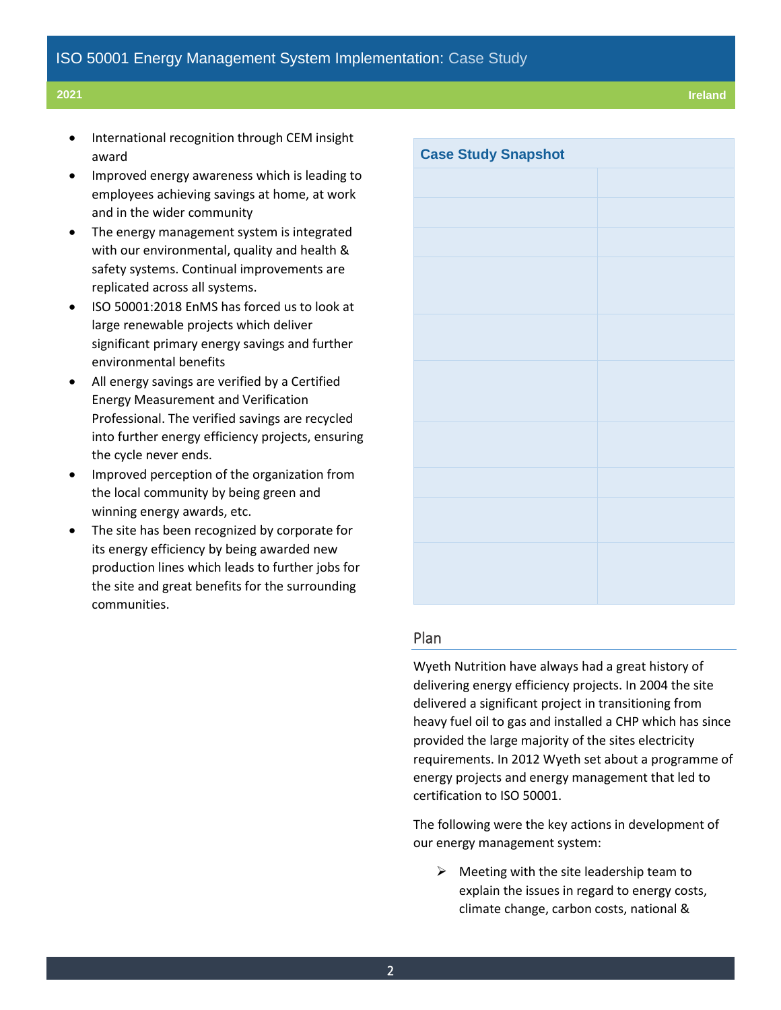- International recognition through CEM insight award
- Improved energy awareness which is leading to employees achieving savings at home, at work and in the wider community
- The energy management system is integrated with our environmental, quality and health & safety systems. Continual improvements are replicated across all systems.
- ISO 50001:2018 EnMS has forced us to look at large renewable projects which deliver significant primary energy savings and further environmental benefits
- All energy savings are verified by a Certified Energy Measurement and Verification Professional. The verified savings are recycled into further energy efficiency projects, ensuring the cycle never ends.
- Improved perception of the organization from the local community by being green and winning energy awards, etc.
- The site has been recognized by corporate for its energy efficiency by being awarded new production lines which leads to further jobs for the site and great benefits for the surrounding communities.

| <b>Case Study Snapshot</b> |  |
|----------------------------|--|
|                            |  |
|                            |  |
|                            |  |
|                            |  |
|                            |  |
|                            |  |
|                            |  |
|                            |  |
|                            |  |
|                            |  |
|                            |  |
|                            |  |
|                            |  |
|                            |  |
|                            |  |
|                            |  |

#### Plan

Wyeth Nutrition have always had a great history of delivering energy efficiency projects. In 2004 the site delivered a significant project in transitioning from heavy fuel oil to gas and installed a CHP which has since provided the large majority of the sites electricity requirements. In 2012 Wyeth set about a programme of energy projects and energy management that led to certification to ISO 50001.

The following were the key actions in development of our energy management system:

 $\triangleright$  Meeting with the site leadership team to explain the issues in regard to energy costs, climate change, carbon costs, national &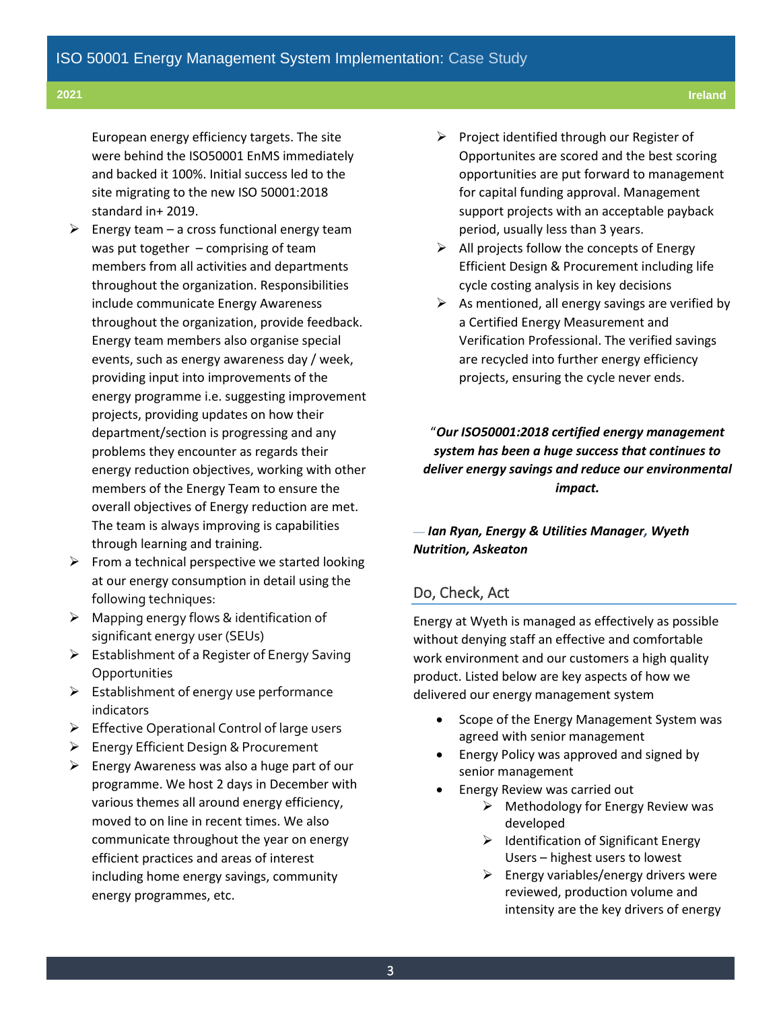European energy efficiency targets. The site were behind the ISO50001 EnMS immediately and backed it 100%. Initial success led to the site migrating to the new ISO 50001:2018 standard in+ 2019.

- $\triangleright$  Energy team a cross functional energy team was put together – comprising of team members from all activities and departments throughout the organization. Responsibilities include communicate Energy Awareness throughout the organization, provide feedback. Energy team members also organise special events, such as energy awareness day / week, providing input into improvements of the energy programme i.e. suggesting improvement projects, providing updates on how their department/section is progressing and any problems they encounter as regards their energy reduction objectives, working with other members of the Energy Team to ensure the overall objectives of Energy reduction are met. The team is always improving is capabilities through learning and training.
- $\triangleright$  From a technical perspective we started looking at our energy consumption in detail using the following techniques:
- $\triangleright$  Mapping energy flows & identification of significant energy user (SEUs)
- ➢ Establishment of a Register of Energy Saving **Opportunities**
- $\triangleright$  Establishment of energy use performance indicators
- ➢ Effective Operational Control of large users
- ➢ Energy Efficient Design & Procurement
- ➢ Energy Awareness was also a huge part of our programme. We host 2 days in December with various themes all around energy efficiency, moved to on line in recent times. We also communicate throughout the year on energy efficient practices and areas of interest including home energy savings, community energy programmes, etc.
- ➢ Project identified through our Register of Opportunites are scored and the best scoring opportunities are put forward to management for capital funding approval. Management support projects with an acceptable payback period, usually less than 3 years.
- $\triangleright$  All projects follow the concepts of Energy Efficient Design & Procurement including life cycle costing analysis in key decisions
- $\triangleright$  As mentioned, all energy savings are verified by a Certified Energy Measurement and Verification Professional. The verified savings are recycled into further energy efficiency projects, ensuring the cycle never ends.

"*Our ISO50001:2018 certified energy management system has been a huge success that continues to deliver energy savings and reduce our environmental impact.*

#### — *Ian Ryan, Energy & Utilities Manager, Wyeth Nutrition, Askeaton*

#### Do, Check, Act

Energy at Wyeth is managed as effectively as possible without denying staff an effective and comfortable work environment and our customers a high quality product. Listed below are key aspects of how we delivered our energy management system

- Scope of the Energy Management System was agreed with senior management
- Energy Policy was approved and signed by senior management
- Energy Review was carried out
	- $\triangleright$  Methodology for Energy Review was developed
	- ➢ Identification of Significant Energy Users – highest users to lowest
	- $\triangleright$  Energy variables/energy drivers were reviewed, production volume and intensity are the key drivers of energy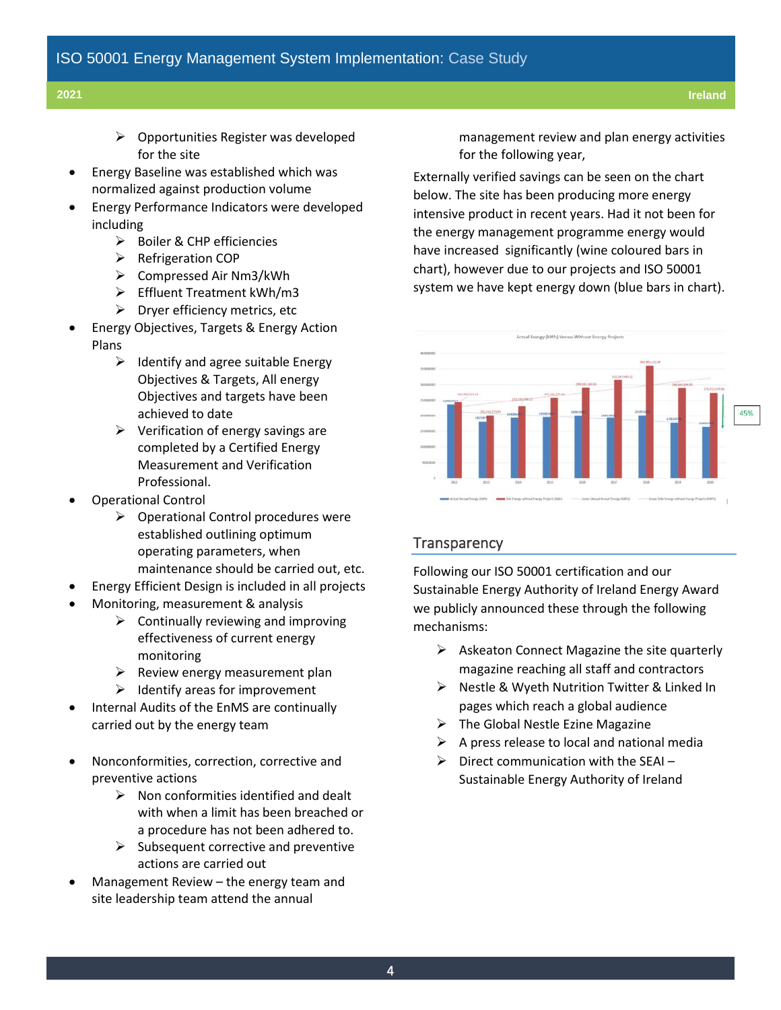- ➢ Opportunities Register was developed for the site
- Energy Baseline was established which was normalized against production volume
- Energy Performance Indicators were developed including
	- ➢ Boiler & CHP efficiencies
	- ➢ Refrigeration COP
	- ➢ Compressed Air Nm3/kWh
	- ➢ Effluent Treatment kWh/m3
	- $\triangleright$  Dryer efficiency metrics, etc
- Energy Objectives, Targets & Energy Action Plans
	- $\triangleright$  Identify and agree suitable Energy Objectives & Targets, All energy Objectives and targets have been achieved to date
	- $\triangleright$  Verification of energy savings are completed by a Certified Energy Measurement and Verification Professional.
- Operational Control
	- ➢ Operational Control procedures were established outlining optimum operating parameters, when maintenance should be carried out, etc.
	- Energy Efficient Design is included in all projects
- Monitoring, measurement & analysis
	- $\triangleright$  Continually reviewing and improving effectiveness of current energy monitoring
	- $\triangleright$  Review energy measurement plan
	- $\triangleright$  Identify areas for improvement
- Internal Audits of the EnMS are continually carried out by the energy team
- Nonconformities, correction, corrective and preventive actions
	- $\triangleright$  Non conformities identified and dealt with when a limit has been breached or a procedure has not been adhered to.
	- $\triangleright$  Subsequent corrective and preventive actions are carried out
- Management Review the energy team and site leadership team attend the annual

management review and plan energy activities for the following year,

Externally verified savings can be seen on the chart below. The site has been producing more energy intensive product in recent years. Had it not been for the energy management programme energy would have increased significantly (wine coloured bars in chart), however due to our projects and ISO 50001 system we have kept energy down (blue bars in chart).



#### **Transparency**

Following our ISO 50001 certification and our Sustainable Energy Authority of Ireland Energy Award we publicly announced these through the following mechanisms:

- $\triangleright$  Askeaton Connect Magazine the site quarterly magazine reaching all staff and contractors
- ➢ Nestle & Wyeth Nutrition Twitter & Linked In pages which reach a global audience
- $\triangleright$  The Global Nestle Ezine Magazine
- $\triangleright$  A press release to local and national media
- $\triangleright$  Direct communication with the SEAI Sustainable Energy Authority of Ireland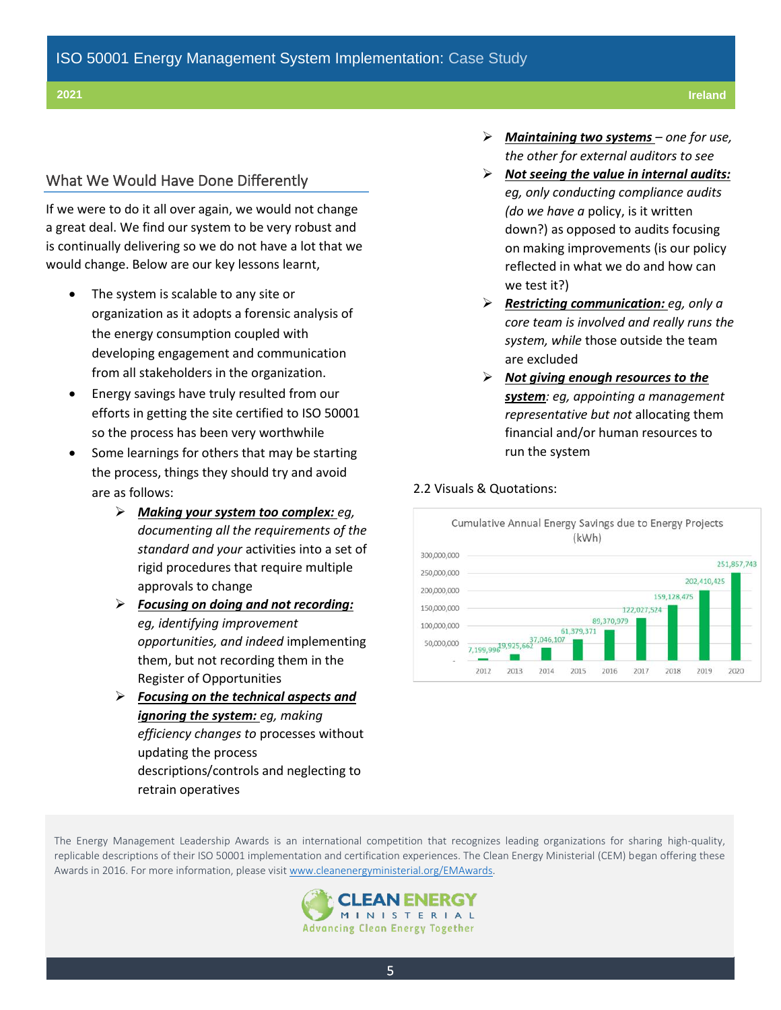#### What We Would Have Done Differently

If we were to do it all over again, we would not change a great deal. We find our system to be very robust and is continually delivering so we do not have a lot that we would change. Below are our key lessons learnt,

- The system is scalable to any site or organization as it adopts a forensic analysis of the energy consumption coupled with developing engagement and communication from all stakeholders in the organization.
- Energy savings have truly resulted from our efforts in getting the site certified to ISO 50001 so the process has been very worthwhile
- Some learnings for others that may be starting the process, things they should try and avoid are as follows:
	- ➢ *Making your system too complex: eg, documenting all the requirements of the standard and your* activities into a set of rigid procedures that require multiple approvals to change
	- ➢ *Focusing on doing and not recording: eg, identifying improvement opportunities, and indeed* implementing them, but not recording them in the Register of Opportunities
	- ➢ *Focusing on the technical aspects and ignoring the system: eg, making efficiency changes to* processes without updating the process descriptions/controls and neglecting to retrain operatives
- ➢ *Maintaining two systems – one for use, the other for external auditors to see*
- ➢ *Not seeing the value in internal audits: eg, only conducting compliance audits (do we have a* policy, is it written down?) as opposed to audits focusing on making improvements (is our policy reflected in what we do and how can we test it?)
- ➢ *Restricting communication: eg, only a core team is involved and really runs the system, while* those outside the team are excluded
- ➢ *Not giving enough resources to the system: eg, appointing a management representative but not* allocating them financial and/or human resources to run the system

#### 2.2 Visuals & Quotations:



The Energy Management Leadership Awards is an international competition that recognizes leading organizations for sharing high-quality, replicable descriptions of their ISO 50001 implementation and certification experiences. The Clean Energy Ministerial (CEM) began offering these Awards in 2016. For more information, please visit [www.cleanenergyministerial.org/](http://www.cleanenergyministerial.org/initiative-clean-energy-ministerial/energy-management-leadership-awards-official-rules)[EMAwards.](file:///C:/Users/jherzfeld/AppData/Local/Microsoft/Windows/INetCache/Content.Outlook/RWB1O20Y/cleanenergyministerial.org/emawards)